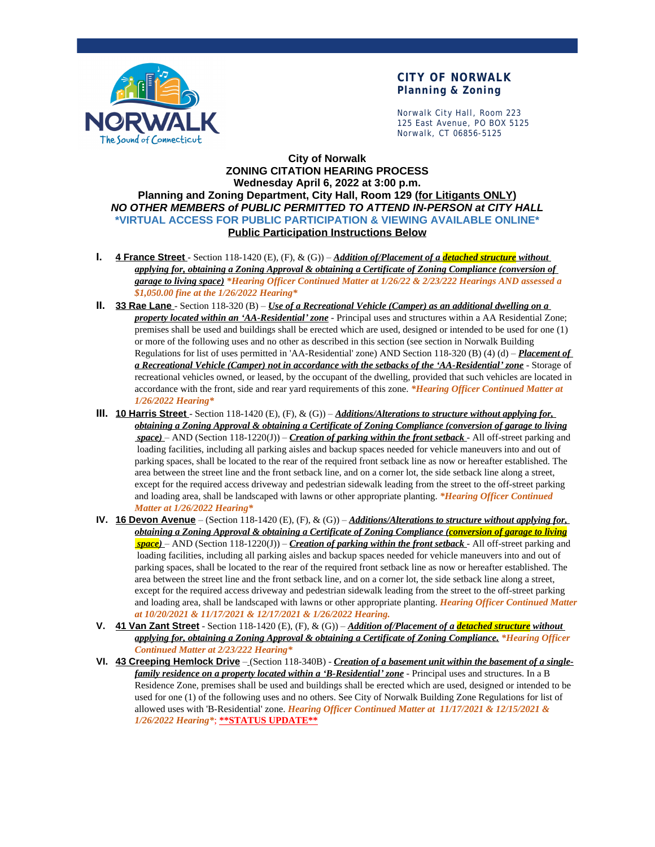

## **CITY OF NORWALK Planning & Zoning**

Norwalk City Hall, Room 223 125 East Avenue, PO BOX 5125 Norwalk, CT 06856-5125

## **City of Norwalk ZONING CITATION HEARING PROCESS Wednesday April 6, 2022 at 3:00 p.m. Planning and Zoning Department, City Hall, Room 129 (for Litigants ONLY)** *NO OTHER MEMBERS of PUBLIC PERMITTED TO ATTEND IN-PERSON at CITY HALL* **\*VIRTUAL ACCESS FOR PUBLIC PARTICIPATION & VIEWING AVAILABLE ONLINE\* Public Participation Instructions Below**

- **I. 4 France Street** Section 118-1420 (E), (F), & (G)) *Addition of/Placement of a detached structure without applying for, obtaining a Zoning Approval & obtaining a Certificate of Zoning Compliance (conversion of garage to living space) \*Hearing Officer Continued Matter at 1/26/22 & 2/23/222 Hearings AND assessed a \$1,050.00 fine at the 1/26/2022 Hearing\**
- **II. 33 Rae Lane**  Section 118-320 (B) *Use of a Recreational Vehicle (Camper) as an additional dwelling on a property located within an 'AA-Residential' zone* - Principal uses and structures within a AA Residential Zone; premises shall be used and buildings shall be erected which are used, designed or intended to be used for one (1) or more of the following uses and no other as described in this section (see section in Norwalk Building Regulations for list of uses permitted in 'AA-Residential' zone) AND Section 118-320 (B) (4) (d) – *Placement of a Recreational Vehicle (Camper) not in accordance with the setbacks of the 'AA-Residential' zone* - Storage of recreational vehicles owned, or leased, by the occupant of the dwelling, provided that such vehicles are located in accordance with the front, side and rear yard requirements of this zone. *\*Hearing Officer Continued Matter at 1/26/2022 Hearing\**
- **III. 10 Harris Street** Section 118-1420 (E), (F), & (G)) *Additions/Alterations to structure without applying for*, *obtaining a Zoning Approval & obtaining a Certificate of Zoning Compliance (conversion of garage to living space)* – AND (Section 118-1220(J)) – *Creation of parking within the front setback* - All off-street parking and loading facilities, including all parking aisles and backup spaces needed for vehicle maneuvers into and out of parking spaces, shall be located to the rear of the required front setback line as now or hereafter established. The area between the street line and the front setback line, and on a corner lot, the side setback line along a street, except for the required access driveway and pedestrian sidewalk leading from the street to the off-street parking and loading area, shall be landscaped with lawns or other appropriate planting. *\*Hearing Officer Continued Matter at 1/26/2022 Hearing\**
- **IV. 16 Devon Avenue** (Section 118-1420 (E), (F), & (G)) *Additions/Alterations to structure without applying for, obtaining a Zoning Approval & obtaining a Certificate of Zoning Compliance (conversion of garage to living space)* – AND (Section 118-1220(J)) – *Creation of parking within the front setback* - All off-street parking and loading facilities, including all parking aisles and backup spaces needed for vehicle maneuvers into and out of parking spaces, shall be located to the rear of the required front setback line as now or hereafter established. The area between the street line and the front setback line, and on a corner lot, the side setback line along a street, except for the required access driveway and pedestrian sidewalk leading from the street to the off-street parking and loading area, shall be landscaped with lawns or other appropriate planting. *Hearing Officer Continued Matter at 10/20/2021 & 11/17/2021 & 12/17/2021 & 1/26/2022 Hearing.*
- **V. 41 Van Zant Street** Section 118-1420 (E), (F), & (G)) *Addition of/Placement of a detached structure without applying for, obtaining a Zoning Approval & obtaining a Certificate of Zoning Compliance. \*Hearing Officer Continued Matter at 2/23/222 Hearing\**
- **VI. 43 Creeping Hemlock Drive** (Section 118-340B) *Creation of a basement unit within the basement of a singlefamily residence on a property located within a 'B-Residential' zone* - Principal uses and structures. In a B Residence Zone, premises shall be used and buildings shall be erected which are used, designed or intended to be used for one (1) of the following uses and no others. See City of Norwalk Building Zone Regulations for list of allowed uses with 'B-Residential' zone. *Hearing Officer Continued Matter at 11/17/2021 & 12/15/2021 & 1/26/2022 Hearing\**; **\*\*STATUS UPDATE\*\***